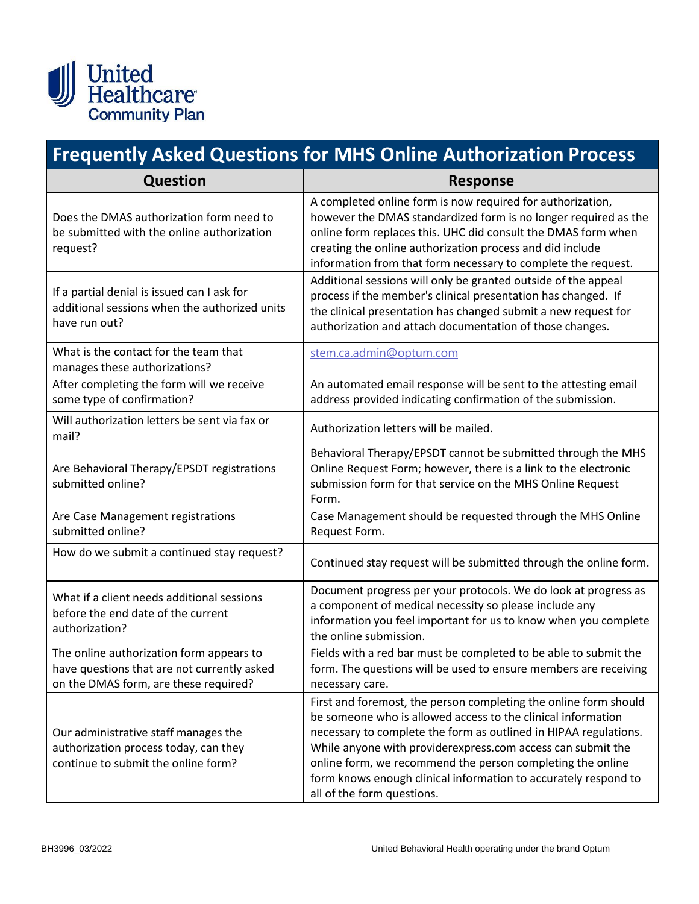

## **Frequently Asked Questions for MHS Online Authorization Process**

| <b>Question</b>                                                                                                                  | <b>Response</b>                                                                                                                                                                                                                                                                                                                                                                                                                    |
|----------------------------------------------------------------------------------------------------------------------------------|------------------------------------------------------------------------------------------------------------------------------------------------------------------------------------------------------------------------------------------------------------------------------------------------------------------------------------------------------------------------------------------------------------------------------------|
| Does the DMAS authorization form need to<br>be submitted with the online authorization<br>request?                               | A completed online form is now required for authorization,<br>however the DMAS standardized form is no longer required as the<br>online form replaces this. UHC did consult the DMAS form when<br>creating the online authorization process and did include<br>information from that form necessary to complete the request.                                                                                                       |
| If a partial denial is issued can I ask for<br>additional sessions when the authorized units<br>have run out?                    | Additional sessions will only be granted outside of the appeal<br>process if the member's clinical presentation has changed. If<br>the clinical presentation has changed submit a new request for<br>authorization and attach documentation of those changes.                                                                                                                                                                      |
| What is the contact for the team that<br>manages these authorizations?                                                           | stem.ca.admin@optum.com                                                                                                                                                                                                                                                                                                                                                                                                            |
| After completing the form will we receive<br>some type of confirmation?                                                          | An automated email response will be sent to the attesting email<br>address provided indicating confirmation of the submission.                                                                                                                                                                                                                                                                                                     |
| Will authorization letters be sent via fax or<br>mail?                                                                           | Authorization letters will be mailed.                                                                                                                                                                                                                                                                                                                                                                                              |
| Are Behavioral Therapy/EPSDT registrations<br>submitted online?                                                                  | Behavioral Therapy/EPSDT cannot be submitted through the MHS<br>Online Request Form; however, there is a link to the electronic<br>submission form for that service on the MHS Online Request<br>Form.                                                                                                                                                                                                                             |
| Are Case Management registrations<br>submitted online?                                                                           | Case Management should be requested through the MHS Online<br>Request Form.                                                                                                                                                                                                                                                                                                                                                        |
| How do we submit a continued stay request?                                                                                       | Continued stay request will be submitted through the online form.                                                                                                                                                                                                                                                                                                                                                                  |
| What if a client needs additional sessions<br>before the end date of the current<br>authorization?                               | Document progress per your protocols. We do look at progress as<br>a component of medical necessity so please include any<br>information you feel important for us to know when you complete<br>the online submission.                                                                                                                                                                                                             |
| The online authorization form appears to<br>have questions that are not currently asked<br>on the DMAS form, are these required? | Fields with a red bar must be completed to be able to submit the<br>form. The questions will be used to ensure members are receiving<br>necessary care.                                                                                                                                                                                                                                                                            |
| Our administrative staff manages the<br>authorization process today, can they<br>continue to submit the online form?             | First and foremost, the person completing the online form should<br>be someone who is allowed access to the clinical information<br>necessary to complete the form as outlined in HIPAA regulations.<br>While anyone with providerexpress.com access can submit the<br>online form, we recommend the person completing the online<br>form knows enough clinical information to accurately respond to<br>all of the form questions. |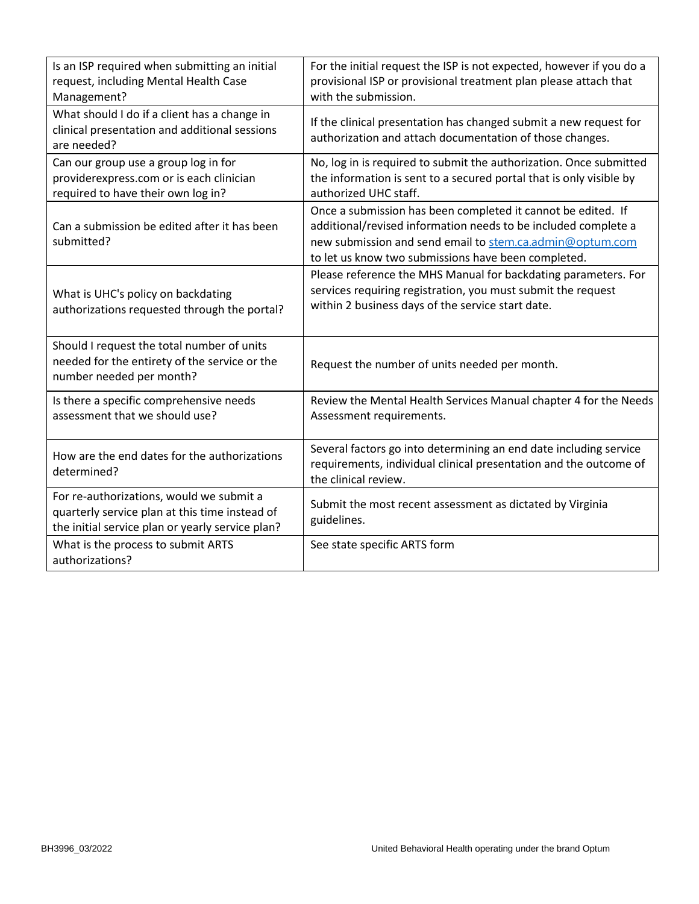| Is an ISP required when submitting an initial<br>request, including Mental Health Case<br>Management?                                          | For the initial request the ISP is not expected, however if you do a<br>provisional ISP or provisional treatment plan please attach that<br>with the submission.                                                                                  |
|------------------------------------------------------------------------------------------------------------------------------------------------|---------------------------------------------------------------------------------------------------------------------------------------------------------------------------------------------------------------------------------------------------|
| What should I do if a client has a change in<br>clinical presentation and additional sessions<br>are needed?                                   | If the clinical presentation has changed submit a new request for<br>authorization and attach documentation of those changes.                                                                                                                     |
| Can our group use a group log in for<br>providerexpress.com or is each clinician<br>required to have their own log in?                         | No, log in is required to submit the authorization. Once submitted<br>the information is sent to a secured portal that is only visible by<br>authorized UHC staff.                                                                                |
| Can a submission be edited after it has been<br>submitted?                                                                                     | Once a submission has been completed it cannot be edited. If<br>additional/revised information needs to be included complete a<br>new submission and send email to stem.ca.admin@optum.com<br>to let us know two submissions have been completed. |
| What is UHC's policy on backdating<br>authorizations requested through the portal?                                                             | Please reference the MHS Manual for backdating parameters. For<br>services requiring registration, you must submit the request<br>within 2 business days of the service start date.                                                               |
| Should I request the total number of units<br>needed for the entirety of the service or the<br>number needed per month?                        | Request the number of units needed per month.                                                                                                                                                                                                     |
| Is there a specific comprehensive needs<br>assessment that we should use?                                                                      | Review the Mental Health Services Manual chapter 4 for the Needs<br>Assessment requirements.                                                                                                                                                      |
| How are the end dates for the authorizations<br>determined?                                                                                    | Several factors go into determining an end date including service<br>requirements, individual clinical presentation and the outcome of<br>the clinical review.                                                                                    |
| For re-authorizations, would we submit a<br>quarterly service plan at this time instead of<br>the initial service plan or yearly service plan? | Submit the most recent assessment as dictated by Virginia<br>guidelines.                                                                                                                                                                          |
| What is the process to submit ARTS<br>authorizations?                                                                                          | See state specific ARTS form                                                                                                                                                                                                                      |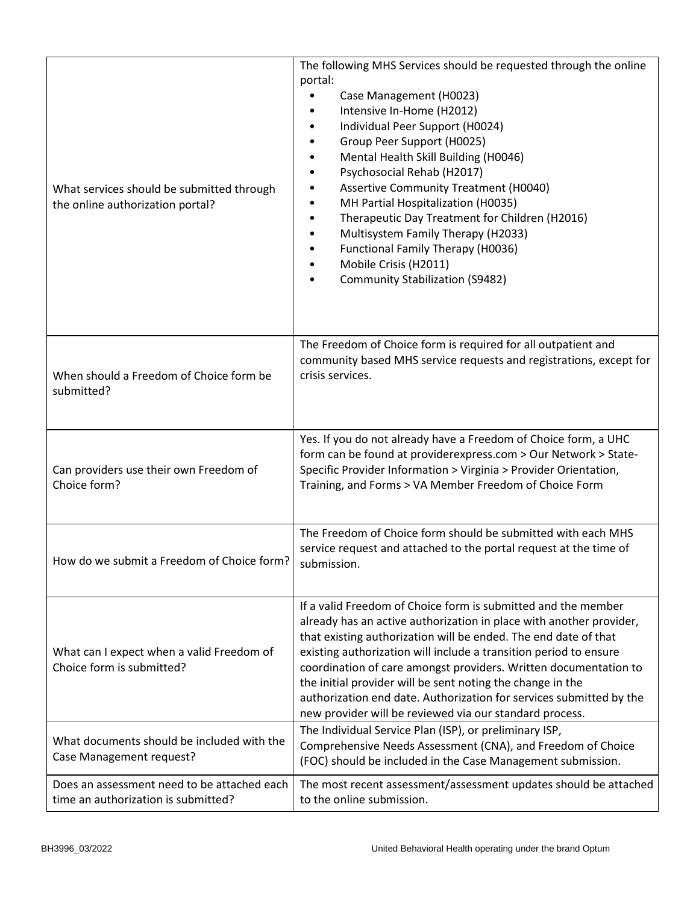| What services should be submitted through<br>the online authorization portal?      | The following MHS Services should be requested through the online<br>portal:<br>Case Management (H0023)<br>Intensive In-Home (H2012)<br>Individual Peer Support (H0024)<br>Group Peer Support (H0025)<br>Mental Health Skill Building (H0046)<br>Psychosocial Rehab (H2017)<br><b>Assertive Community Treatment (H0040)</b><br>MH Partial Hospitalization (H0035)<br>Therapeutic Day Treatment for Children (H2016)<br>٠<br>Multisystem Family Therapy (H2033)<br>Functional Family Therapy (H0036)<br>Mobile Crisis (H2011)<br><b>Community Stabilization (S9482)</b> |
|------------------------------------------------------------------------------------|------------------------------------------------------------------------------------------------------------------------------------------------------------------------------------------------------------------------------------------------------------------------------------------------------------------------------------------------------------------------------------------------------------------------------------------------------------------------------------------------------------------------------------------------------------------------|
| When should a Freedom of Choice form be<br>submitted?                              | The Freedom of Choice form is required for all outpatient and<br>community based MHS service requests and registrations, except for<br>crisis services.                                                                                                                                                                                                                                                                                                                                                                                                                |
| Can providers use their own Freedom of<br>Choice form?                             | Yes. If you do not already have a Freedom of Choice form, a UHC<br>form can be found at providerexpress.com > Our Network > State-<br>Specific Provider Information > Virginia > Provider Orientation,<br>Training, and Forms > VA Member Freedom of Choice Form                                                                                                                                                                                                                                                                                                       |
| How do we submit a Freedom of Choice form?                                         | The Freedom of Choice form should be submitted with each MHS<br>service request and attached to the portal request at the time of<br>submission.                                                                                                                                                                                                                                                                                                                                                                                                                       |
| What can I expect when a valid Freedom of<br>Choice form is submitted?             | If a valid Freedom of Choice form is submitted and the member<br>already has an active authorization in place with another provider,<br>that existing authorization will be ended. The end date of that<br>existing authorization will include a transition period to ensure<br>coordination of care amongst providers. Written documentation to<br>the initial provider will be sent noting the change in the<br>authorization end date. Authorization for services submitted by the<br>new provider will be reviewed via our standard process.                       |
| What documents should be included with the<br>Case Management request?             | The Individual Service Plan (ISP), or preliminary ISP,<br>Comprehensive Needs Assessment (CNA), and Freedom of Choice<br>(FOC) should be included in the Case Management submission.                                                                                                                                                                                                                                                                                                                                                                                   |
| Does an assessment need to be attached each<br>time an authorization is submitted? | The most recent assessment/assessment updates should be attached<br>to the online submission.                                                                                                                                                                                                                                                                                                                                                                                                                                                                          |